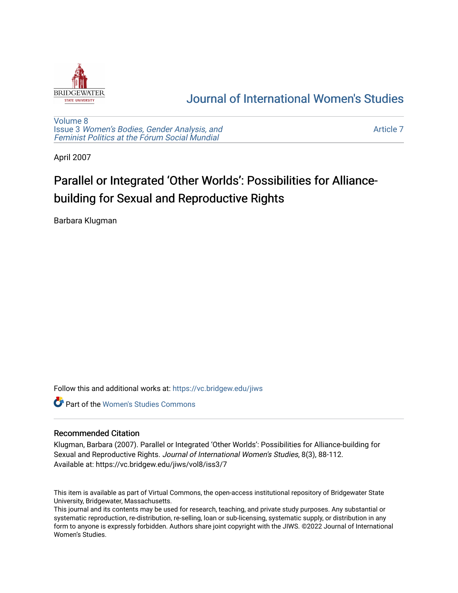

# [Journal of International Women's Studies](https://vc.bridgew.edu/jiws)

[Volume 8](https://vc.bridgew.edu/jiws/vol8) Issue 3 [Women's Bodies, Gender Analysis, and](https://vc.bridgew.edu/jiws/vol8/iss3) [Feminist Politics at the Fórum Social Mundial](https://vc.bridgew.edu/jiws/vol8/iss3)

[Article 7](https://vc.bridgew.edu/jiws/vol8/iss3/7) 

April 2007

# Parallel or Integrated 'Other Worlds': Possibilities for Alliancebuilding for Sexual and Reproductive Rights

Barbara Klugman

Follow this and additional works at: [https://vc.bridgew.edu/jiws](https://vc.bridgew.edu/jiws?utm_source=vc.bridgew.edu%2Fjiws%2Fvol8%2Fiss3%2F7&utm_medium=PDF&utm_campaign=PDFCoverPages)

**C** Part of the Women's Studies Commons

# Recommended Citation

Klugman, Barbara (2007). Parallel or Integrated 'Other Worlds': Possibilities for Alliance-building for Sexual and Reproductive Rights. Journal of International Women's Studies, 8(3), 88-112. Available at: https://vc.bridgew.edu/jiws/vol8/iss3/7

This item is available as part of Virtual Commons, the open-access institutional repository of Bridgewater State University, Bridgewater, Massachusetts.

This journal and its contents may be used for research, teaching, and private study purposes. Any substantial or systematic reproduction, re-distribution, re-selling, loan or sub-licensing, systematic supply, or distribution in any form to anyone is expressly forbidden. Authors share joint copyright with the JIWS. ©2022 Journal of International Women's Studies.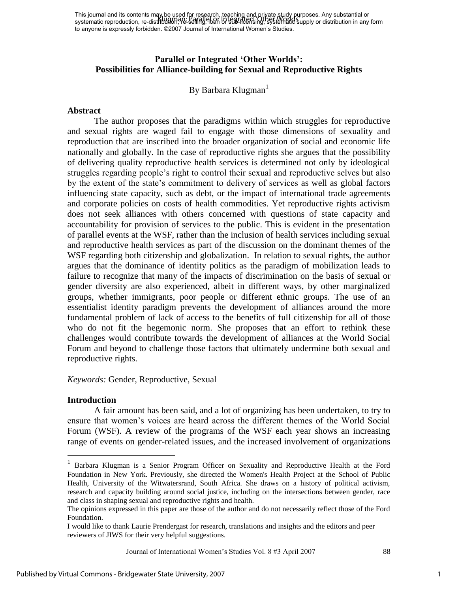This journal and its contents may be used for research, teaching and private study purposes. Any substantial or This journal and its contents may be distributed by research, referring and others world purposes. Any substantial or<br>systematic reproduction, re-distribution, he selling, bear in star-intensing, systematic supply or distr to anyone is expressly forbidden. ©2007 Journal of International Women's Studies.

# **Parallel or Integrated 'Other Worlds': Possibilities for Alliance-building for Sexual and Reproductive Rights**

By Barbara Klugman<sup>1</sup>

#### **Abstract**

The author proposes that the paradigms within which struggles for reproductive and sexual rights are waged fail to engage with those dimensions of sexuality and reproduction that are inscribed into the broader organization of social and economic life nationally and globally. In the case of reproductive rights she argues that the possibility of delivering quality reproductive health services is determined not only by ideological struggles regarding people's right to control their sexual and reproductive selves but also by the extent of the state's commitment to delivery of services as well as global factors influencing state capacity, such as debt, or the impact of international trade agreements and corporate policies on costs of health commodities. Yet reproductive rights activism does not seek alliances with others concerned with questions of state capacity and accountability for provision of services to the public. This is evident in the presentation of parallel events at the WSF, rather than the inclusion of health services including sexual and reproductive health services as part of the discussion on the dominant themes of the WSF regarding both citizenship and globalization. In relation to sexual rights, the author argues that the dominance of identity politics as the paradigm of mobilization leads to failure to recognize that many of the impacts of discrimination on the basis of sexual or gender diversity are also experienced, albeit in different ways, by other marginalized groups, whether immigrants, poor people or different ethnic groups. The use of an essentialist identity paradigm prevents the development of alliances around the more fundamental problem of lack of access to the benefits of full citizenship for all of those who do not fit the hegemonic norm. She proposes that an effort to rethink these challenges would contribute towards the development of alliances at the World Social Forum and beyond to challenge those factors that ultimately undermine both sexual and reproductive rights.

*Keywords:* Gender, Reproductive, Sexual

#### **Introduction**

 $\overline{a}$ 

A fair amount has been said, and a lot of organizing has been undertaken, to try to ensure that women's voices are heard across the different themes of the World Social Forum (WSF). A review of the programs of the WSF each year shows an increasing range of events on gender-related issues, and the increased involvement of organizations

Journal of International Women's Studies Vol. 8 #3 April 2007 88

<sup>&</sup>lt;sup>1</sup> Barbara Klugman is a Senior Program Officer on Sexuality and Reproductive Health at the Ford Foundation in New York. Previously, she directed the Women's Health Project at the School of Public Health, University of the Witwatersrand, South Africa. She draws on a history of political activism, research and capacity building around social justice, including on the intersections between gender, race and class in shaping sexual and reproductive rights and health.

The opinions expressed in this paper are those of the author and do not necessarily reflect those of the Ford Foundation.

I would like to thank Laurie Prendergast for research, translations and insights and the editors and peer reviewers of JIWS for their very helpful suggestions.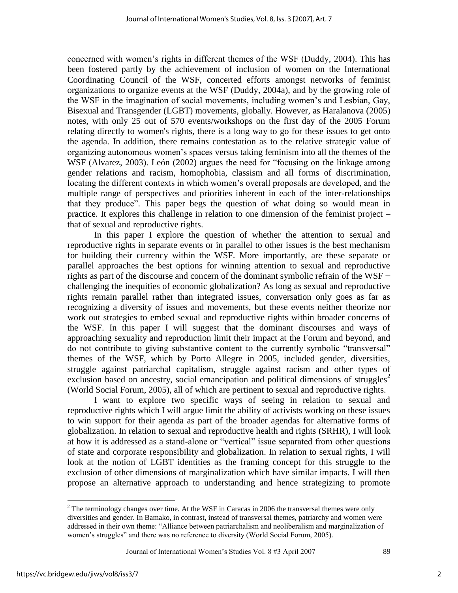concerned with women's rights in different themes of the WSF (Duddy, 2004). This has been fostered partly by the achievement of inclusion of women on the International Coordinating Council of the WSF, concerted efforts amongst networks of feminist organizations to organize events at the WSF (Duddy, 2004a), and by the growing role of the WSF in the imagination of social movements, including women's and Lesbian, Gay, Bisexual and Transgender (LGBT) movements, globally. However, as Haralanova (2005) notes, with only 25 out of 570 events/workshops on the first day of the 2005 Forum relating directly to women's rights, there is a long way to go for these issues to get onto the agenda. In addition, there remains contestation as to the relative strategic value of organizing autonomous women's spaces versus taking feminism into all the themes of the WSF (Alvarez, 2003). León (2002) argues the need for "focusing on the linkage among gender relations and racism, homophobia, classism and all forms of discrimination, locating the different contexts in which women's overall proposals are developed, and the multiple range of perspectives and priorities inherent in each of the inter-relationships that they produce". This paper begs the question of what doing so would mean in practice. It explores this challenge in relation to one dimension of the feminist project – that of sexual and reproductive rights.

In this paper I explore the question of whether the attention to sexual and reproductive rights in separate events or in parallel to other issues is the best mechanism for building their currency within the WSF. More importantly, are these separate or parallel approaches the best options for winning attention to sexual and reproductive rights as part of the discourse and concern of the dominant symbolic refrain of the WSF − challenging the inequities of economic globalization? As long as sexual and reproductive rights remain parallel rather than integrated issues, conversation only goes as far as recognizing a diversity of issues and movements, but these events neither theorize nor work out strategies to embed sexual and reproductive rights within broader concerns of the WSF. In this paper I will suggest that the dominant discourses and ways of approaching sexuality and reproduction limit their impact at the Forum and beyond, and do not contribute to giving substantive content to the currently symbolic "transversal" themes of the WSF, which by Porto Allegre in 2005, included gender, diversities, struggle against patriarchal capitalism, struggle against racism and other types of exclusion based on ancestry, social emancipation and political dimensions of struggles<sup>2</sup> (World Social Forum, 2005), all of which are pertinent to sexual and reproductive rights.

I want to explore two specific ways of seeing in relation to sexual and reproductive rights which I will argue limit the ability of activists working on these issues to win support for their agenda as part of the broader agendas for alternative forms of globalization. In relation to sexual and reproductive health and rights (SRHR), I will look at how it is addressed as a stand-alone or "vertical" issue separated from other questions of state and corporate responsibility and globalization. In relation to sexual rights, I will look at the notion of LGBT identities as the framing concept for this struggle to the exclusion of other dimensions of marginalization which have similar impacts. I will then propose an alternative approach to understanding and hence strategizing to promote

Journal of International Women's Studies Vol. 8 #3 April 2007 89

 $\overline{a}$ 

 $2^2$  The terminology changes over time. At the WSF in Caracas in 2006 the transversal themes were only diversities and gender. In Bamako, in contrast, instead of transversal themes, patriarchy and women were addressed in their own theme: "Alliance between patriarchalism and neoliberalism and marginalization of women's struggles" and there was no reference to diversity (World Social Forum, 2005).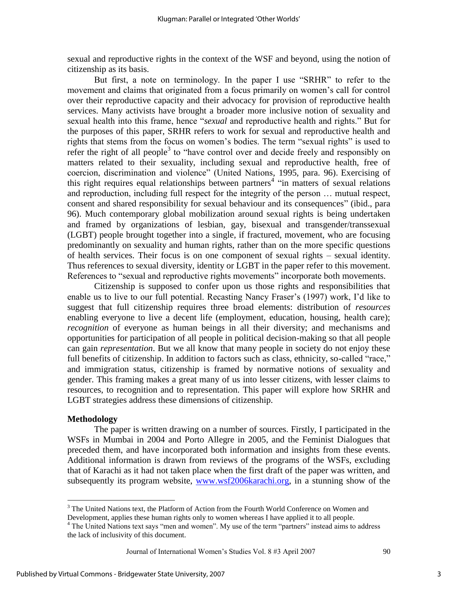sexual and reproductive rights in the context of the WSF and beyond, using the notion of citizenship as its basis.

But first, a note on terminology. In the paper I use "SRHR" to refer to the movement and claims that originated from a focus primarily on women's call for control over their reproductive capacity and their advocacy for provision of reproductive health services. Many activists have brought a broader more inclusive notion of sexuality and sexual health into this frame, hence "*sexual* and reproductive health and rights." But for the purposes of this paper, SRHR refers to work for sexual and reproductive health and rights that stems from the focus on women's bodies. The term "sexual rights" is used to refer the right of all people<sup>3</sup> to "have control over and decide freely and responsibly on matters related to their sexuality, including sexual and reproductive health, free of coercion, discrimination and violence" (United Nations, 1995, para. 96). Exercising of this right requires equal relationships between partners<sup>4</sup> "in matters of sexual relations and reproduction, including full respect for the integrity of the person … mutual respect, consent and shared responsibility for sexual behaviour and its consequences" (ibid., para 96). Much contemporary global mobilization around sexual rights is being undertaken and framed by organizations of lesbian, gay, bisexual and transgender/transsexual (LGBT) people brought together into a single, if fractured, movement, who are focusing predominantly on sexuality and human rights, rather than on the more specific questions of health services. Their focus is on one component of sexual rights – sexual identity. Thus references to sexual diversity, identity or LGBT in the paper refer to this movement. References to "sexual and reproductive rights movements" incorporate both movements.

Citizenship is supposed to confer upon us those rights and responsibilities that enable us to live to our full potential. Recasting Nancy Fraser's (1997) work, I'd like to suggest that full citizenship requires three broad elements: distribution of *resources* enabling everyone to live a decent life (employment, education, housing, health care); *recognition* of everyone as human beings in all their diversity; and mechanisms and opportunities for participation of all people in political decision-making so that all people can gain *representation*. But we all know that many people in society do not enjoy these full benefits of citizenship. In addition to factors such as class, ethnicity, so-called "race," and immigration status, citizenship is framed by normative notions of sexuality and gender. This framing makes a great many of us into lesser citizens, with lesser claims to resources, to recognition and to representation. This paper will explore how SRHR and LGBT strategies address these dimensions of citizenship.

## **Methodology**

 $\overline{a}$ 

 The paper is written drawing on a number of sources. Firstly, I participated in the WSFs in Mumbai in 2004 and Porto Allegre in 2005, and the Feminist Dialogues that preceded them, and have incorporated both information and insights from these events. Additional information is drawn from reviews of the programs of the WSFs, excluding that of Karachi as it had not taken place when the first draft of the paper was written, and subsequently its program website, [www.wsf2006karachi.org,](http://www.wsf2006karachi.org/) in a stunning show of the

<sup>&</sup>lt;sup>3</sup> The United Nations text, the Platform of Action from the Fourth World Conference on Women and Development, applies these human rights only to women whereas I have applied it to all people.

<sup>&</sup>lt;sup>4</sup> The United Nations text says "men and women". My use of the term "partners" instead aims to address the lack of inclusivity of this document.

Journal of International Women's Studies Vol. 8 #3 April 2007 90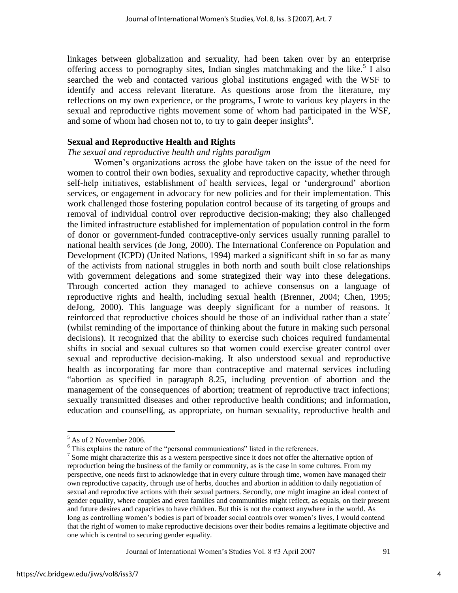linkages between globalization and sexuality, had been taken over by an enterprise offering access to pornography sites, Indian singles matchmaking and the like.<sup>5</sup> I also searched the web and contacted various global institutions engaged with the WSF to identify and access relevant literature. As questions arose from the literature, my reflections on my own experience, or the programs, I wrote to various key players in the sexual and reproductive rights movement some of whom had participated in the WSF, and some of whom had chosen not to, to try to gain deeper insights<sup> $6$ </sup>.

## **Sexual and Reproductive Health and Rights**

# *The sexual and reproductive health and rights paradigm*

Women's organizations across the globe have taken on the issue of the need for women to control their own bodies, sexuality and reproductive capacity, whether through self-help initiatives, establishment of health services, legal or 'underground' abortion services, or engagement in advocacy for new policies and for their implementation. This work challenged those fostering population control because of its targeting of groups and removal of individual control over reproductive decision-making; they also challenged the limited infrastructure established for implementation of population control in the form of donor or government-funded contraceptive-only services usually running parallel to national health services (de Jong, 2000). The International Conference on Population and Development (ICPD) (United Nations, 1994) marked a significant shift in so far as many of the activists from national struggles in both north and south built close relationships with government delegations and some strategized their way into these delegations. Through concerted action they managed to achieve consensus on a language of reproductive rights and health, including sexual health (Brenner, 2004; Chen, 1995; deJong, 2000). This language was deeply significant for a number of reasons. It reinforced that reproductive choices should be those of an individual rather than a state<sup> $\prime$ </sup> (whilst reminding of the importance of thinking about the future in making such personal decisions). It recognized that the ability to exercise such choices required fundamental shifts in social and sexual cultures so that women could exercise greater control over sexual and reproductive decision-making. It also understood sexual and reproductive health as incorporating far more than contraceptive and maternal services including Abortion as specified in paragraph 8.25, including prevention of abortion and the management of the consequences of abortion; treatment of reproductive tract infections; sexually transmitted diseases and other reproductive health conditions; and information, education and counselling, as appropriate, on human sexuality, reproductive health and

Journal of International Women's Studies Vol. 8 #3 April 2007 91

 $<sup>5</sup>$  As of 2 November 2006.</sup>

 $6$  This explains the nature of the "personal communications" listed in the references.

 $\frac{7}{1}$  Some might characterize this as a western perspective since it does not offer the alternative option of reproduction being the business of the family or community, as is the case in some cultures. From my perspective, one needs first to acknowledge that in every culture through time, women have managed their own reproductive capacity, through use of herbs, douches and abortion in addition to daily negotiation of sexual and reproductive actions with their sexual partners. Secondly, one might imagine an ideal context of gender equality, where couples and even families and communities might reflect, as equals, on their present and future desires and capacities to have children. But this is not the context anywhere in the world. As long as controlling women's bodies is part of broader social controls over women's lives, I would contend that the right of women to make reproductive decisions over their bodies remains a legitimate objective and one which is central to securing gender equality.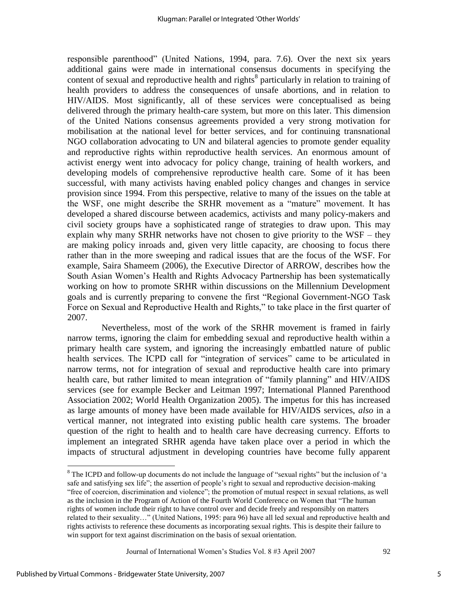responsible parenthood" (United Nations, 1994, para. 7.6). Over the next six years additional gains were made in international consensus documents in specifying the content of sexual and reproductive health and rights<sup>8</sup> particularly in relation to training of health providers to address the consequences of unsafe abortions, and in relation to HIV/AIDS. Most significantly, all of these services were conceptualised as being delivered through the primary health-care system, but more on this later. This dimension of the United Nations consensus agreements provided a very strong motivation for mobilisation at the national level for better services, and for continuing transnational NGO collaboration advocating to UN and bilateral agencies to promote gender equality and reproductive rights within reproductive health services. An enormous amount of activist energy went into advocacy for policy change, training of health workers, and developing models of comprehensive reproductive health care. Some of it has been successful, with many activists having enabled policy changes and changes in service provision since 1994. From this perspective, relative to many of the issues on the table at the WSF, one might describe the SRHR movement as a "mature" movement. It has developed a shared discourse between academics, activists and many policy-makers and civil society groups have a sophisticated range of strategies to draw upon. This may explain why many SRHR networks have not chosen to give priority to the WSF – they are making policy inroads and, given very little capacity, are choosing to focus there rather than in the more sweeping and radical issues that are the focus of the WSF. For example, Saira Shameem (2006), the Executive Director of ARROW, describes how the South Asian Women's Health and Rights Advocacy Partnership has been systematically working on how to promote SRHR within discussions on the Millennium Development goals and is currently preparing to convene the first "Regional Government-NGO Task Force on Sexual and Reproductive Health and Rights," to take place in the first quarter of 2007.

 Nevertheless, most of the work of the SRHR movement is framed in fairly narrow terms, ignoring the claim for embedding sexual and reproductive health within a primary health care system, and ignoring the increasingly embattled nature of public health services. The ICPD call for "integration of services" came to be articulated in narrow terms, not for integration of sexual and reproductive health care into primary health care, but rather limited to mean integration of "family planning" and HIV/AIDS services (see for example Becker and Leitman 1997; International Planned Parenthood Association 2002; World Health Organization 2005). The impetus for this has increased as large amounts of money have been made available for HIV/AIDS services, *also* in a vertical manner, not integrated into existing public health care systems. The broader question of the right to health and to health care have decreasing currency. Efforts to implement an integrated SRHR agenda have taken place over a period in which the impacts of structural adjustment in developing countries have become fully apparent

Journal of International Women's Studies Vol. 8 #3 April 2007 92

 $\overline{a}$ 

 $8$  The ICPD and follow-up documents do not include the language of "sexual rights" but the inclusion of 'a safe and satisfying sex life"; the assertion of people's right to sexual and reproductive decision-making ―free of coercion, discrimination and violence‖; the promotion of mutual respect in sexual relations, as well as the inclusion in the Program of Action of the Fourth World Conference on Women that "The human" rights of women include their right to have control over and decide freely and responsibly on matters related to their sexuality…" (United Nations, 1995: para 96) have all led sexual and reproductive health and rights activists to reference these documents as incorporating sexual rights. This is despite their failure to win support for text against discrimination on the basis of sexual orientation.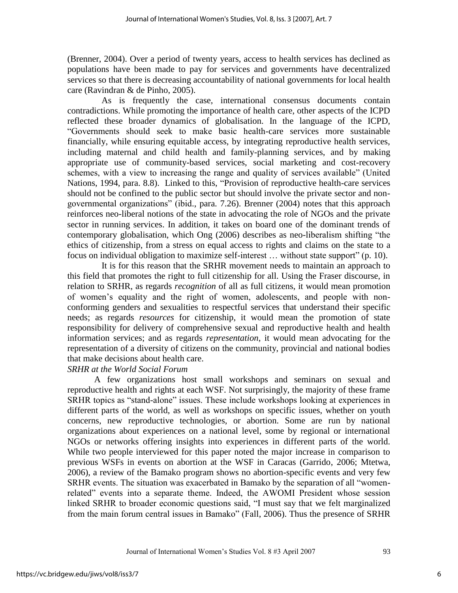(Brenner, 2004). Over a period of twenty years, access to health services has declined as populations have been made to pay for services and governments have decentralized services so that there is decreasing accountability of national governments for local health care (Ravindran & de Pinho, 2005).

 As is frequently the case, international consensus documents contain contradictions. While promoting the importance of health care, other aspects of the ICPD reflected these broader dynamics of globalisation. In the language of the ICPD, ―Governments should seek to make basic health-care services more sustainable financially, while ensuring equitable access, by integrating reproductive health services, including maternal and child health and family-planning services, and by making appropriate use of community-based services, social marketing and cost-recovery schemes, with a view to increasing the range and quality of services available" (United Nations, 1994, para. 8.8). Linked to this, "Provision of reproductive health-care services should not be confined to the public sector but should involve the private sector and nongovernmental organizations" (ibid., para. 7.26). Brenner (2004) notes that this approach reinforces neo-liberal notions of the state in advocating the role of NGOs and the private sector in running services. In addition, it takes on board one of the dominant trends of contemporary globalisation, which Ong (2006) describes as neo-liberalism shifting "the ethics of citizenship, from a stress on equal access to rights and claims on the state to a focus on individual obligation to maximize self-interest ... without state support" (p. 10).

 It is for this reason that the SRHR movement needs to maintain an approach to this field that promotes the right to full citizenship for all. Using the Fraser discourse, in relation to SRHR, as regards *recognition* of all as full citizens, it would mean promotion of women's equality and the right of women, adolescents, and people with nonconforming genders and sexualities to respectful services that understand their specific needs; as regards *resources* for citizenship, it would mean the promotion of state responsibility for delivery of comprehensive sexual and reproductive health and health information services; and as regards *representation*, it would mean advocating for the representation of a diversity of citizens on the community, provincial and national bodies that make decisions about health care.

# *SRHR at the World Social Forum*

A few organizations host small workshops and seminars on sexual and reproductive health and rights at each WSF. Not surprisingly, the majority of these frame SRHR topics as "stand-alone" issues. These include workshops looking at experiences in different parts of the world, as well as workshops on specific issues, whether on youth concerns, new reproductive technologies, or abortion. Some are run by national organizations about experiences on a national level, some by regional or international NGOs or networks offering insights into experiences in different parts of the world. While two people interviewed for this paper noted the major increase in comparison to previous WSFs in events on abortion at the WSF in Caracas (Garrido, 2006; Mtetwa, 2006), a review of the Bamako program shows no abortion-specific events and very few SRHR events. The situation was exacerbated in Bamako by the separation of all "womenrelated" events into a separate theme. Indeed, the AWOMI President whose session linked SRHR to broader economic questions said, "I must say that we felt marginalized from the main forum central issues in Bamako" (Fall, 2006). Thus the presence of SRHR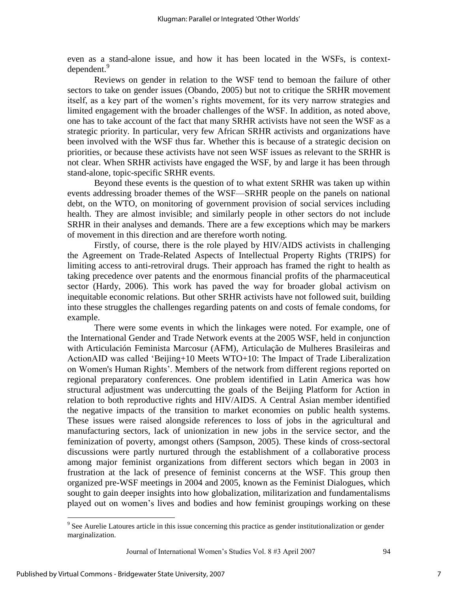even as a stand-alone issue, and how it has been located in the WSFs, is contextdependent.<sup>9</sup>

Reviews on gender in relation to the WSF tend to bemoan the failure of other sectors to take on gender issues (Obando, 2005) but not to critique the SRHR movement itself, as a key part of the women's rights movement, for its very narrow strategies and limited engagement with the broader challenges of the WSF. In addition, as noted above, one has to take account of the fact that many SRHR activists have not seen the WSF as a strategic priority. In particular, very few African SRHR activists and organizations have been involved with the WSF thus far. Whether this is because of a strategic decision on priorities, or because these activists have not seen WSF issues as relevant to the SRHR is not clear. When SRHR activists have engaged the WSF, by and large it has been through stand-alone, topic-specific SRHR events.

Beyond these events is the question of to what extent SRHR was taken up within events addressing broader themes of the WSF—SRHR people on the panels on national debt, on the WTO, on monitoring of government provision of social services including health. They are almost invisible; and similarly people in other sectors do not include SRHR in their analyses and demands. There are a few exceptions which may be markers of movement in this direction and are therefore worth noting.

Firstly, of course, there is the role played by HIV/AIDS activists in challenging the Agreement on Trade-Related Aspects of Intellectual Property Rights (TRIPS) for limiting access to anti-retroviral drugs. Their approach has framed the right to health as taking precedence over patents and the enormous financial profits of the pharmaceutical sector (Hardy, 2006). This work has paved the way for broader global activism on inequitable economic relations. But other SRHR activists have not followed suit, building into these struggles the challenges regarding patents on and costs of female condoms, for example.

There were some events in which the linkages were noted. For example, one of the International Gender and Trade Network events at the 2005 WSF, held in conjunction with Articulación Feminista Marcosur (AFM), Articulação de Mulheres Brasileiras and ActionAID was called 'Beijing+10 Meets WTO+10: The Impact of Trade Liberalization on Women's Human Rights'. Members of the network from different regions reported on regional preparatory conferences. One problem identified in Latin America was how structural adjustment was undercutting the goals of the Beijing Platform for Action in relation to both reproductive rights and HIV/AIDS. A Central Asian member identified the negative impacts of the transition to market economies on public health systems. These issues were raised alongside references to loss of jobs in the agricultural and manufacturing sectors, lack of unionization in new jobs in the service sector, and the feminization of poverty, amongst others (Sampson, 2005). These kinds of cross-sectoral discussions were partly nurtured through the establishment of a collaborative process among major feminist organizations from different sectors which began in 2003 in frustration at the lack of presence of feminist concerns at the WSF. This group then organized pre-WSF meetings in 2004 and 2005, known as the Feminist Dialogues, which sought to gain deeper insights into how globalization, militarization and fundamentalisms played out on women's lives and bodies and how feminist groupings working on these

Journal of International Women's Studies Vol. 8 #3 April 2007 94

<sup>&</sup>lt;sup>9</sup> See Aurelie Latoures article in this issue concerning this practice as gender institutionalization or gender marginalization.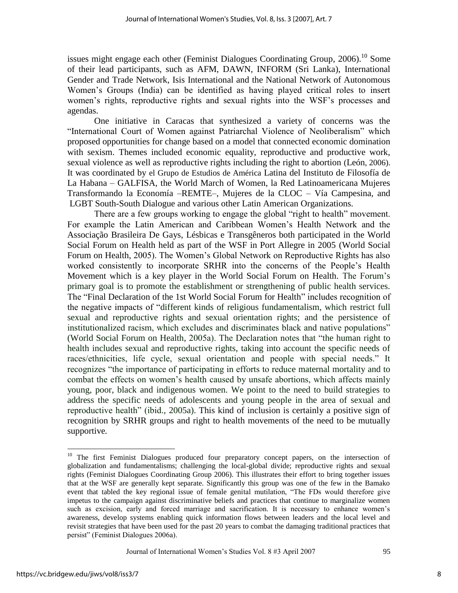issues might engage each other (Feminist Dialogues Coordinating Group,  $2006$ ).<sup>10</sup> Some of their lead participants, such as AFM, DAWN, INFORM (Sri Lanka), International Gender and Trade Network, Isis International and the National Network of Autonomous Women's Groups (India) can be identified as having played critical roles to insert women's rights, reproductive rights and sexual rights into the WSF's processes and agendas.

One initiative in Caracas that synthesized a variety of concerns was the "International Court of Women against Patriarchal Violence of Neoliberalism" which proposed opportunities for change based on a model that connected economic domination with sexism. Themes included economic equality, reproductive and productive work, sexual violence as well as reproductive rights including the right to abortion (León, 2006). It was coordinated by el Grupo de Estudios de América Latina del Instituto de Filosofía de La Habana – GALFISA, the World March of Women, la Red Latinoamericana Mujeres Transformando la Economía –REMTE–, Mujeres de la CLOC – Vía Campesina, and LGBT South-South Dialogue and various other Latin American Organizations.

There are a few groups working to engage the global "right to health" movement. For example the Latin American and Caribbean Women's Health Network and the Associação Brasileira De Gays, Lésbicas e Transgêneros both participated in the World Social Forum on Health held as part of the WSF in Port Allegre in 2005 (World Social Forum on Health, 2005). The Women's Global Network on Reproductive Rights has also worked consistently to incorporate SRHR into the concerns of the People's Health Movement which is a key player in the World Social Forum on Health. The Forum's primary goal is to promote the establishment or strengthening of public health services. The "Final Declaration of the 1st World Social Forum for Health" includes recognition of the negative impacts of "different kinds of religious fundamentalism, which restrict full sexual and reproductive rights and sexual orientation rights; and the persistence of institutionalized racism, which excludes and discriminates black and native populations" (World Social Forum on Health,  $2005a$ ). The Declaration notes that "the human right to health includes sexual and reproductive rights, taking into account the specific needs of races/ethnicities, life cycle, sexual orientation and people with special needs." It recognizes "the importance of participating in efforts to reduce maternal mortality and to combat the effects on women's health caused by unsafe abortions, which affects mainly young, poor, black and indigenous women. We point to the need to build strategies to address the specific needs of adolescents and young people in the area of sexual and reproductive health" (ibid., 2005a). This kind of inclusion is certainly a positive sign of recognition by SRHR groups and right to health movements of the need to be mutually supportive*.* 

<sup>&</sup>lt;sup>10</sup> The first Feminist Dialogues produced four preparatory concept papers, on the intersection of globalization and fundamentalisms; challenging the local-global divide; reproductive rights and sexual rights (Feminist Dialogues Coordinating Group 2006). This illustrates their effort to bring together issues that at the WSF are generally kept separate. Significantly this group was one of the few in the Bamako event that tabled the key regional issue of female genital mutilation, "The FDs would therefore give impetus to the campaign against discriminative beliefs and practices that continue to marginalize women such as excision, early and forced marriage and sacrification. It is necessary to enhance women's awareness, develop systems enabling quick information flows between leaders and the local level and revisit strategies that have been used for the past 20 years to combat the damaging traditional practices that persist" (Feminist Dialogues 2006a).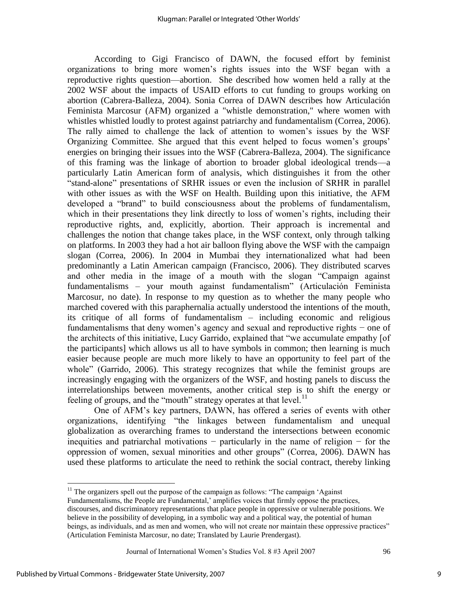According to Gigi Francisco of DAWN, the focused effort by feminist organizations to bring more women's rights issues into the WSF began with a reproductive rights question—abortion. She described how women held a rally at the 2002 WSF about the impacts of USAID efforts to cut funding to groups working on abortion (Cabrera-Balleza, 2004). Sonia Correa of DAWN describes how Articulación Feminista Marcosur (AFM) organized a "whistle demonstration," where women with whistles whistled loudly to protest against patriarchy and fundamentalism (Correa, 2006). The rally aimed to challenge the lack of attention to women's issues by the WSF Organizing Committee. She argued that this event helped to focus women's groups' energies on bringing their issues into the WSF (Cabrera-Balleza, 2004). The significance of this framing was the linkage of abortion to broader global ideological trends—a particularly Latin American form of analysis, which distinguishes it from the other ―stand-alone‖ presentations of SRHR issues or even the inclusion of SRHR in parallel with other issues as with the WSF on Health. Building upon this initiative, the AFM developed a "brand" to build consciousness about the problems of fundamentalism, which in their presentations they link directly to loss of women's rights, including their reproductive rights, and, explicitly, abortion. Their approach is incremental and challenges the notion that change takes place, in the WSF context, only through talking on platforms. In 2003 they had a hot air balloon flying above the WSF with the campaign slogan (Correa, 2006). In 2004 in Mumbai they internationalized what had been predominantly a Latin American campaign (Francisco, 2006). They distributed scarves and other media in the image of a mouth with the slogan "Campaign against fundamentalisms – your mouth against fundamentalism" (Articulación Feminista Marcosur, no date). In response to my question as to whether the many people who marched covered with this paraphernalia actually understood the intentions of the mouth, its critique of all forms of fundamentalism – including economic and religious fundamentalisms that deny women's agency and sexual and reproductive rights − one of the architects of this initiative, Lucy Garrido, explained that "we accumulate empathy [of the participants] which allows us all to have symbols in common; then learning is much easier because people are much more likely to have an opportunity to feel part of the whole" (Garrido, 2006). This strategy recognizes that while the feminist groups are increasingly engaging with the organizers of the WSF, and hosting panels to discuss the interrelationships between movements, another critical step is to shift the energy or feeling of groups, and the "mouth" strategy operates at that level.<sup>11</sup>

One of AFM's key partners, DAWN, has offered a series of events with other organizations, identifying "the linkages between fundamentalism and unequal globalization as overarching frames to understand the intersections between economic inequities and patriarchal motivations − particularly in the name of religion − for the oppression of women, sexual minorities and other groups‖ (Correa, 2006). DAWN has used these platforms to articulate the need to rethink the social contract, thereby linking

Journal of International Women's Studies Vol. 8 #3 April 2007 96

 $11$ <sup>11</sup> The organizers spell out the purpose of the campaign as follows: "The campaign 'Against

Fundamentalisms, the People are Fundamental,' amplifies voices that firmly oppose the practices,

discourses, and discriminatory representations that place people in oppressive or vulnerable positions. We believe in the possibility of developing, in a symbolic way and a political way, the potential of human beings, as individuals, and as men and women, who will not create nor maintain these oppressive practices" (Articulation Feminista Marcosur, no date; Translated by Laurie Prendergast).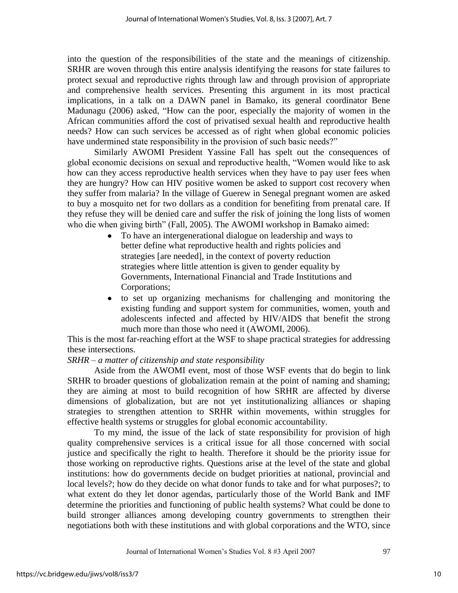into the question of the responsibilities of the state and the meanings of citizenship. SRHR are woven through this entire analysis identifying the reasons for state failures to protect sexual and reproductive rights through law and through provision of appropriate and comprehensive health services. Presenting this argument in its most practical implications, in a talk on a DAWN panel in Bamako, its general coordinator Bene Madunagu (2006) asked, "How can the poor, especially the majority of women in the African communities afford the cost of privatised sexual health and reproductive health needs? How can such services be accessed as of right when global economic policies have undermined state responsibility in the provision of such basic needs?"

Similarly AWOMI President Yassine Fall has spelt out the consequences of global economic decisions on sexual and reproductive health, "Women would like to ask how can they access reproductive health services when they have to pay user fees when they are hungry? How can HIV positive women be asked to support cost recovery when they suffer from malaria? In the village of Guerew in Senegal pregnant women are asked to buy a mosquito net for two dollars as a condition for benefiting from prenatal care. If they refuse they will be denied care and suffer the risk of joining the long lists of women who die when giving birth" (Fall, 2005). The AWOMI workshop in Bamako aimed:

- To have an intergenerational dialogue on leadership and ways to  $\bullet$ better define what reproductive health and rights policies and strategies [are needed], in the context of poverty reduction strategies where little attention is given to gender equality by Governments, International Financial and Trade Institutions and Corporations;
- to set up organizing mechanisms for challenging and monitoring the  $\bullet$ existing funding and support system for communities, women, youth and adolescents infected and affected by HIV/AIDS that benefit the strong much more than those who need it (AWOMI, 2006).

This is the most far-reaching effort at the WSF to shape practical strategies for addressing these intersections.

# *SRHR – a matter of citizenship and state responsibility*

Aside from the AWOMI event, most of those WSF events that do begin to link SRHR to broader questions of globalization remain at the point of naming and shaming; they are aiming at most to build recognition of how SRHR are affected by diverse dimensions of globalization, but are not yet institutionalizing alliances or shaping strategies to strengthen attention to SRHR within movements, within struggles for effective health systems or struggles for global economic accountability.

To my mind, the issue of the lack of state responsibility for provision of high quality comprehensive services is a critical issue for all those concerned with social justice and specifically the right to health. Therefore it should be the priority issue for those working on reproductive rights. Questions arise at the level of the state and global institutions: how do governments decide on budget priorities at national, provincial and local levels?; how do they decide on what donor funds to take and for what purposes?; to what extent do they let donor agendas, particularly those of the World Bank and IMF determine the priorities and functioning of public health systems? What could be done to build stronger alliances among developing country governments to strengthen their negotiations both with these institutions and with global corporations and the WTO, since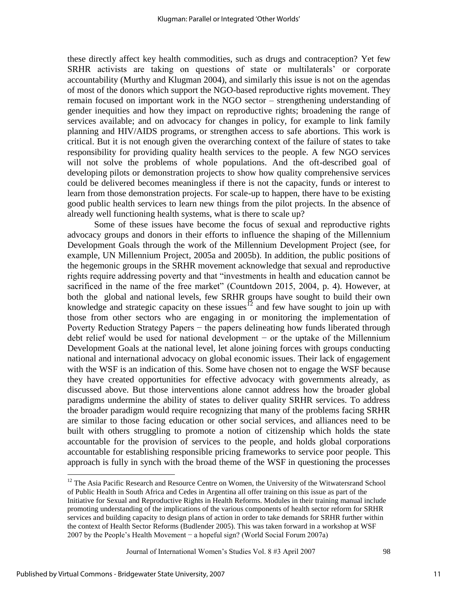these directly affect key health commodities, such as drugs and contraception? Yet few SRHR activists are taking on questions of state or multilaterals' or corporate accountability (Murthy and Klugman 2004), and similarly this issue is not on the agendas of most of the donors which support the NGO-based reproductive rights movement. They remain focused on important work in the NGO sector – strengthening understanding of gender inequities and how they impact on reproductive rights; broadening the range of services available; and on advocacy for changes in policy, for example to link family planning and HIV/AIDS programs, or strengthen access to safe abortions. This work is critical. But it is not enough given the overarching context of the failure of states to take responsibility for providing quality health services to the people. A few NGO services will not solve the problems of whole populations. And the oft-described goal of developing pilots or demonstration projects to show how quality comprehensive services could be delivered becomes meaningless if there is not the capacity, funds or interest to learn from those demonstration projects. For scale-up to happen, there have to be existing good public health services to learn new things from the pilot projects. In the absence of already well functioning health systems, what is there to scale up?

Some of these issues have become the focus of sexual and reproductive rights advocacy groups and donors in their efforts to influence the shaping of the Millennium Development Goals through the work of the Millennium Development Project (see, for example, UN Millennium Project, 2005a and 2005b). In addition, the public positions of the hegemonic groups in the SRHR movement acknowledge that sexual and reproductive rights require addressing poverty and that "investments in health and education cannot be sacrificed in the name of the free market" (Countdown 2015, 2004, p. 4). However, at both the global and national levels, few SRHR groups have sought to build their own knowledge and strategic capacity on these issues<sup>12</sup> and few have sought to join up with those from other sectors who are engaging in or monitoring the implementation of Poverty Reduction Strategy Papers – the papers delineating how funds liberated through debt relief would be used for national development − or the uptake of the Millennium Development Goals at the national level, let alone joining forces with groups conducting national and international advocacy on global economic issues. Their lack of engagement with the WSF is an indication of this. Some have chosen not to engage the WSF because they have created opportunities for effective advocacy with governments already, as discussed above. But those interventions alone cannot address how the broader global paradigms undermine the ability of states to deliver quality SRHR services. To address the broader paradigm would require recognizing that many of the problems facing SRHR are similar to those facing education or other social services, and alliances need to be built with others struggling to promote a notion of citizenship which holds the state accountable for the provision of services to the people, and holds global corporations accountable for establishing responsible pricing frameworks to service poor people. This approach is fully in synch with the broad theme of the WSF in questioning the processes

Journal of International Women's Studies Vol. 8 #3 April 2007 98

<sup>&</sup>lt;sup>12</sup> The Asia Pacific Research and Resource Centre on Women, the University of the Witwatersrand School of Public Health in South Africa and Cedes in Argentina all offer training on this issue as part of the Initiative for Sexual and Reproductive Rights in Health Reforms. Modules in their training manual include promoting understanding of the implications of the various components of health sector reform for SRHR services and building capacity to design plans of action in order to take demands for SRHR further within the context of Health Sector Reforms (Budlender 2005). This was taken forward in a workshop at WSF 2007 by the People's Health Movement − a hopeful sign? (World Social Forum 2007a)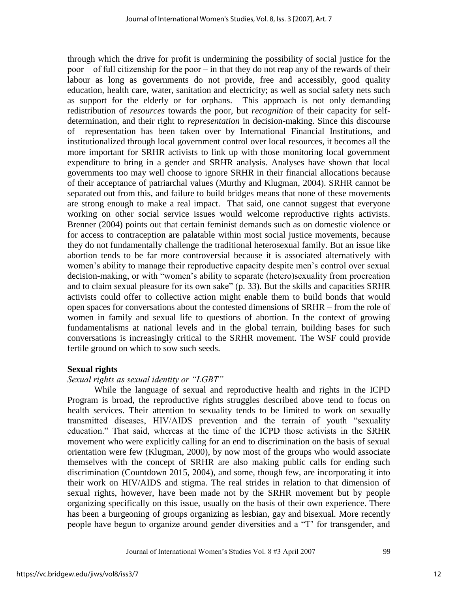through which the drive for profit is undermining the possibility of social justice for the poor − of full citizenship for the poor – in that they do not reap any of the rewards of their labour as long as governments do not provide, free and accessibly, good quality education, health care, water, sanitation and electricity; as well as social safety nets such as support for the elderly or for orphans. This approach is not only demanding redistribution of *resources* towards the poor, but *recognition* of their capacity for selfdetermination, and their right to *representation* in decision-making. Since this discourse of representation has been taken over by International Financial Institutions, and institutionalized through local government control over local resources, it becomes all the more important for SRHR activists to link up with those monitoring local government expenditure to bring in a gender and SRHR analysis. Analyses have shown that local governments too may well choose to ignore SRHR in their financial allocations because of their acceptance of patriarchal values (Murthy and Klugman, 2004). SRHR cannot be separated out from this, and failure to build bridges means that none of these movements are strong enough to make a real impact. That said, one cannot suggest that everyone working on other social service issues would welcome reproductive rights activists. Brenner (2004) points out that certain feminist demands such as on domestic violence or for access to contraception are palatable within most social justice movements, because they do not fundamentally challenge the traditional heterosexual family. But an issue like abortion tends to be far more controversial because it is associated alternatively with women's ability to manage their reproductive capacity despite men's control over sexual decision-making, or with "women's ability to separate (hetero)sexuality from procreation and to claim sexual pleasure for its own sake" (p. 33). But the skills and capacities SRHR activists could offer to collective action might enable them to build bonds that would open spaces for conversations about the contested dimensions of SRHR – from the role of women in family and sexual life to questions of abortion. In the context of growing fundamentalisms at national levels and in the global terrain, building bases for such conversations is increasingly critical to the SRHR movement. The WSF could provide fertile ground on which to sow such seeds.

## **Sexual rights**

# *Sexual rights as sexual identity or "LGBT"*

While the language of sexual and reproductive health and rights in the ICPD Program is broad, the reproductive rights struggles described above tend to focus on health services. Their attention to sexuality tends to be limited to work on sexually transmitted diseases, HIV/AIDS prevention and the terrain of youth "sexuality education." That said, whereas at the time of the ICPD those activists in the SRHR movement who were explicitly calling for an end to discrimination on the basis of sexual orientation were few (Klugman, 2000), by now most of the groups who would associate themselves with the concept of SRHR are also making public calls for ending such discrimination (Countdown 2015, 2004), and some, though few, are incorporating it into their work on HIV/AIDS and stigma. The real strides in relation to that dimension of sexual rights, however, have been made not by the SRHR movement but by people organizing specifically on this issue, usually on the basis of their own experience. There has been a burgeoning of groups organizing as lesbian, gay and bisexual. More recently people have begun to organize around gender diversities and a "T" for transgender, and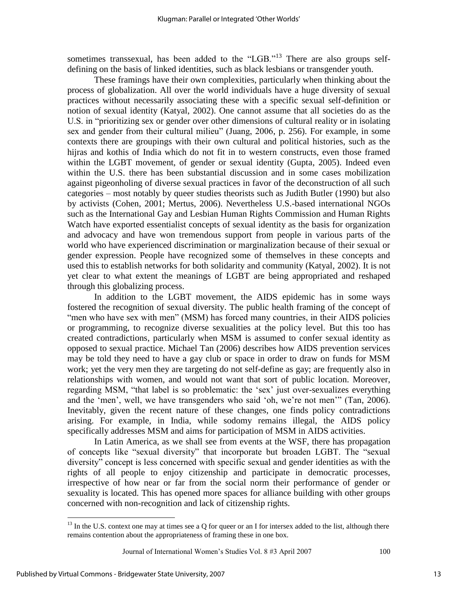sometimes transsexual, has been added to the "LGB."<sup>13</sup> There are also groups selfdefining on the basis of linked identities, such as black lesbians or transgender youth.

These framings have their own complexities, particularly when thinking about the process of globalization. All over the world individuals have a huge diversity of sexual practices without necessarily associating these with a specific sexual self-definition or notion of sexual identity (Katyal, 2002). One cannot assume that all societies do as the U.S. in "prioritizing sex or gender over other dimensions of cultural reality or in isolating sex and gender from their cultural milieu" (Juang, 2006, p. 256). For example, in some contexts there are groupings with their own cultural and political histories, such as the hijras and kothis of India which do not fit in to western constructs, even those framed within the LGBT movement, of gender or sexual identity (Gupta, 2005). Indeed even within the U.S. there has been substantial discussion and in some cases mobilization against pigeonholing of diverse sexual practices in favor of the deconstruction of all such categories – most notably by queer studies theorists such as Judith Butler (1990) but also by activists (Cohen, 2001; Mertus, 2006). Nevertheless U.S.-based international NGOs such as the International Gay and Lesbian Human Rights Commission and Human Rights Watch have exported essentialist concepts of sexual identity as the basis for organization and advocacy and have won tremendous support from people in various parts of the world who have experienced discrimination or marginalization because of their sexual or gender expression. People have recognized some of themselves in these concepts and used this to establish networks for both solidarity and community (Katyal, 2002). It is not yet clear to what extent the meanings of LGBT are being appropriated and reshaped through this globalizing process.

In addition to the LGBT movement, the AIDS epidemic has in some ways fostered the recognition of sexual diversity. The public health framing of the concept of "men who have sex with men" (MSM) has forced many countries, in their AIDS policies or programming, to recognize diverse sexualities at the policy level. But this too has created contradictions, particularly when MSM is assumed to confer sexual identity as opposed to sexual practice. Michael Tan (2006) describes how AIDS prevention services may be told they need to have a gay club or space in order to draw on funds for MSM work; yet the very men they are targeting do not self-define as gay; are frequently also in relationships with women, and would not want that sort of public location. Moreover, regarding MSM, "that label is so problematic: the 'sex' just over-sexualizes everything and the 'men', well, we have transgenders who said 'oh, we're not men'" (Tan, 2006). Inevitably, given the recent nature of these changes, one finds policy contradictions arising. For example, in India, while sodomy remains illegal, the AIDS policy specifically addresses MSM and aims for participation of MSM in AIDS activities.

In Latin America, as we shall see from events at the WSF, there has propagation of concepts like "sexual diversity" that incorporate but broaden LGBT. The "sexual diversity" concept is less concerned with specific sexual and gender identities as with the rights of all people to enjoy citizenship and participate in democratic processes, irrespective of how near or far from the social norm their performance of gender or sexuality is located. This has opened more spaces for alliance building with other groups concerned with non-recognition and lack of citizenship rights.

 $13$  In the U.S. context one may at times see a Q for queer or an I for intersex added to the list, although there remains contention about the appropriateness of framing these in one box.

Journal of International Women's Studies Vol. 8 #3 April 2007 100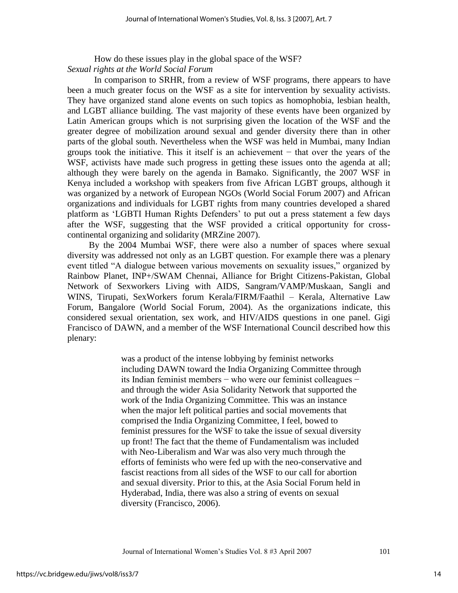How do these issues play in the global space of the WSF? *Sexual rights at the World Social Forum* 

 In comparison to SRHR, from a review of WSF programs, there appears to have been a much greater focus on the WSF as a site for intervention by sexuality activists. They have organized stand alone events on such topics as homophobia, lesbian health, and LGBT alliance building. The vast majority of these events have been organized by Latin American groups which is not surprising given the location of the WSF and the greater degree of mobilization around sexual and gender diversity there than in other parts of the global south. Nevertheless when the WSF was held in Mumbai, many Indian groups took the initiative. This it itself is an achievement − that over the years of the WSF, activists have made such progress in getting these issues onto the agenda at all; although they were barely on the agenda in Bamako. Significantly, the 2007 WSF in Kenya included a workshop with speakers from five African LGBT groups, although it was organized by a network of European NGOs (World Social Forum 2007) and African organizations and individuals for LGBT rights from many countries developed a shared platform as ‗LGBTI Human Rights Defenders' to put out a press statement a few days after the WSF, suggesting that the WSF provided a critical opportunity for crosscontinental organizing and solidarity (MRZine 2007).

By the 2004 Mumbai WSF, there were also a number of spaces where sexual diversity was addressed not only as an LGBT question. For example there was a plenary event titled "A dialogue between various movements on sexuality issues," organized by Rainbow Planet, INP+/SWAM Chennai, Alliance for Bright Citizens-Pakistan, Global Network of Sexworkers Living with AIDS, Sangram/VAMP/Muskaan, Sangli and WINS, Tirupati, SexWorkers forum Kerala/FIRM/Faathil – Kerala, Alternative Law Forum, Bangalore (World Social Forum, 2004). As the organizations indicate, this considered sexual orientation, sex work, and HIV/AIDS questions in one panel. Gigi Francisco of DAWN, and a member of the WSF International Council described how this plenary:

> was a product of the intense lobbying by feminist networks including DAWN toward the India Organizing Committee through its Indian feminist members − who were our feminist colleagues − and through the wider Asia Solidarity Network that supported the work of the India Organizing Committee. This was an instance when the major left political parties and social movements that comprised the India Organizing Committee, I feel, bowed to feminist pressures for the WSF to take the issue of sexual diversity up front! The fact that the theme of Fundamentalism was included with Neo-Liberalism and War was also very much through the efforts of feminists who were fed up with the neo-conservative and fascist reactions from all sides of the WSF to our call for abortion and sexual diversity. Prior to this, at the Asia Social Forum held in Hyderabad, India, there was also a string of events on sexual diversity (Francisco, 2006).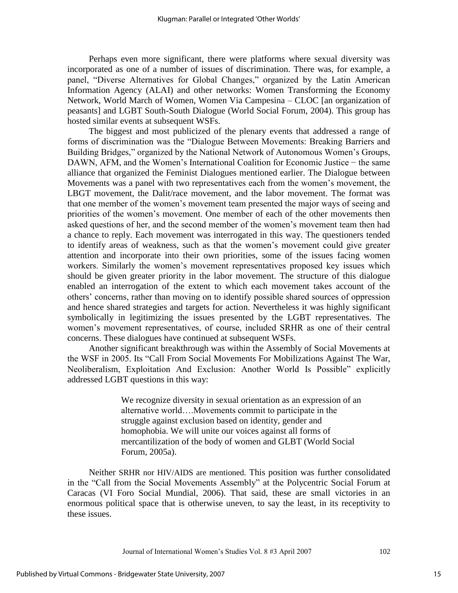Perhaps even more significant, there were platforms where sexual diversity was incorporated as one of a number of issues of discrimination. There was, for example, a panel, "Diverse Alternatives for Global Changes," organized by the Latin American Information Agency (ALAI) and other networks: Women Transforming the Economy Network, World March of Women, Women Via Campesina – CLOC [an organization of peasants] and LGBT South-South Dialogue (World Social Forum, 2004). This group has hosted similar events at subsequent WSFs.

The biggest and most publicized of the plenary events that addressed a range of forms of discrimination was the "Dialogue Between Movements: Breaking Barriers and Building Bridges," organized by the National Network of Autonomous Women's Groups, DAWN, AFM, and the Women's International Coalition for Economic Justice − the same alliance that organized the Feminist Dialogues mentioned earlier. The Dialogue between Movements was a panel with two representatives each from the women's movement, the LBGT movement, the Dalit/race movement, and the labor movement. The format was that one member of the women's movement team presented the major ways of seeing and priorities of the women's movement. One member of each of the other movements then asked questions of her, and the second member of the women's movement team then had a chance to reply. Each movement was interrogated in this way. The questioners tended to identify areas of weakness, such as that the women's movement could give greater attention and incorporate into their own priorities, some of the issues facing women workers. Similarly the women's movement representatives proposed key issues which should be given greater priority in the labor movement. The structure of this dialogue enabled an interrogation of the extent to which each movement takes account of the others' concerns, rather than moving on to identify possible shared sources of oppression and hence shared strategies and targets for action. Nevertheless it was highly significant symbolically in legitimizing the issues presented by the LGBT representatives. The women's movement representatives, of course, included SRHR as one of their central concerns. These dialogues have continued at subsequent WSFs.

Another significant breakthrough was within the Assembly of Social Movements at the WSF in 2005. Its "Call From Social Movements For Mobilizations Against The War, Neoliberalism, Exploitation And Exclusion: Another World Is Possible" explicitly addressed LGBT questions in this way:

> We recognize diversity in sexual orientation as an expression of an alternative world….Movements commit to participate in the struggle against exclusion based on identity, gender and homophobia. We will unite our voices against all forms of mercantilization of the body of women and GLBT (World Social Forum, 2005a).

Neither SRHR nor HIV/AIDS are mentioned. This position was further consolidated in the "Call from the Social Movements Assembly" at the Polycentric Social Forum at Caracas (VI Foro Social Mundial, 2006). That said, these are small victories in an enormous political space that is otherwise uneven, to say the least, in its receptivity to these issues.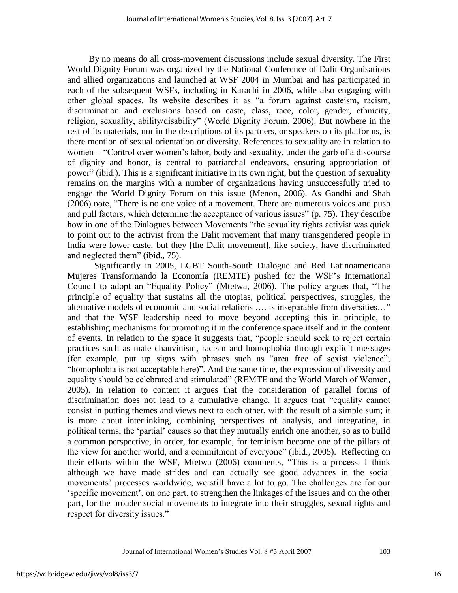By no means do all cross-movement discussions include sexual diversity. The First World Dignity Forum was organized by the National Conference of Dalit Organisations and allied organizations and launched at WSF 2004 in Mumbai and has participated in each of the subsequent WSFs, including in Karachi in 2006, while also engaging with other global spaces. Its website describes it as "a forum against casteism, racism, discrimination and exclusions based on caste, class, race, color, gender, ethnicity, religion, sexuality, ability/disability" (World Dignity Forum, 2006). But nowhere in the rest of its materials, nor in the descriptions of its partners, or speakers on its platforms, is there mention of sexual orientation or diversity. References to sexuality are in relation to women – "Control over women's labor, body and sexuality, under the garb of a discourse of dignity and honor, is central to patriarchal endeavors, ensuring appropriation of power" (ibid.). This is a significant initiative in its own right, but the question of sexuality remains on the margins with a number of organizations having unsuccessfully tried to engage the World Dignity Forum on this issue (Menon, 2006). As Gandhi and Shah  $(2006)$  note, "There is no one voice of a movement. There are numerous voices and push and pull factors, which determine the acceptance of various issues" (p. 75). They describe how in one of the Dialogues between Movements "the sexuality rights activist was quick to point out to the activist from the Dalit movement that many transgendered people in India were lower caste, but they [the Dalit movement], like society, have discriminated and neglected them" (ibid., 75).

Significantly in 2005, LGBT South-South Dialogue and Red Latinoamericana Mujeres Transformando la Economía (REMTE) pushed for the WSF's International Council to adopt an "Equality Policy" (Mtetwa, 2006). The policy argues that, "The principle of equality that sustains all the utopias, political perspectives, struggles, the alternative models of economic and social relations .... is inseparable from diversities..." and that the WSF leadership need to move beyond accepting this in principle, to establishing mechanisms for promoting it in the conference space itself and in the content of events. In relation to the space it suggests that, "people should seek to reject certain practices such as male chauvinism, racism and homophobia through explicit messages (for example, put up signs with phrases such as "area free of sexist violence"; "homophobia is not acceptable here)". And the same time, the expression of diversity and equality should be celebrated and stimulated" (REMTE and the World March of Women, 2005). In relation to content it argues that the consideration of parallel forms of discrimination does not lead to a cumulative change. It argues that "equality cannot consist in putting themes and views next to each other, with the result of a simple sum; it is more about interlinking, combining perspectives of analysis, and integrating, in political terms, the 'partial' causes so that they mutually enrich one another, so as to build a common perspective, in order, for example, for feminism become one of the pillars of the view for another world, and a commitment of everyone" (ibid., 2005). Reflecting on their efforts within the WSF, Mtetwa (2006) comments, "This is a process. I think although we have made strides and can actually see good advances in the social movements' processes worldwide, we still have a lot to go. The challenges are for our ‗specific movement', on one part, to strengthen the linkages of the issues and on the other part, for the broader social movements to integrate into their struggles, sexual rights and respect for diversity issues."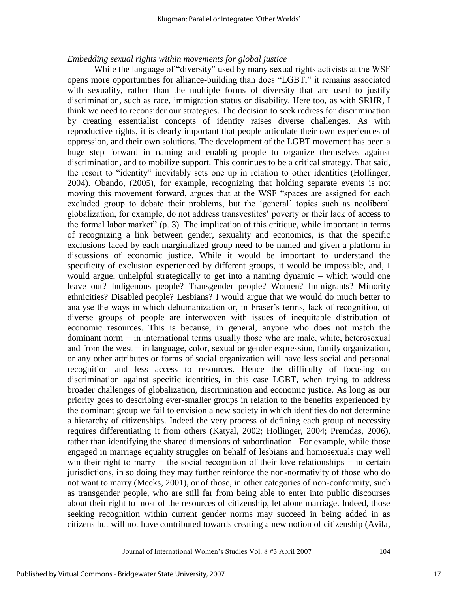## *Embedding sexual rights within movements for global justice*

While the language of "diversity" used by many sexual rights activists at the WSF opens more opportunities for alliance-building than does "LGBT," it remains associated with sexuality, rather than the multiple forms of diversity that are used to justify discrimination, such as race, immigration status or disability. Here too, as with SRHR, I think we need to reconsider our strategies. The decision to seek redress for discrimination by creating essentialist concepts of identity raises diverse challenges. As with reproductive rights, it is clearly important that people articulate their own experiences of oppression, and their own solutions. The development of the LGBT movement has been a huge step forward in naming and enabling people to organize themselves against discrimination, and to mobilize support. This continues to be a critical strategy. That said, the resort to "identity" inevitably sets one up in relation to other identities (Hollinger, 2004). Obando, (2005), for example, recognizing that holding separate events is not moving this movement forward, argues that at the WSF "spaces are assigned for each excluded group to debate their problems, but the 'general' topics such as neoliberal globalization, for example, do not address transvestites' poverty or their lack of access to the formal labor market"  $(p, 3)$ . The implication of this critique, while important in terms of recognizing a link between gender, sexuality and economics, is that the specific exclusions faced by each marginalized group need to be named and given a platform in discussions of economic justice. While it would be important to understand the specificity of exclusion experienced by different groups, it would be impossible, and, I would argue, unhelpful strategically to get into a naming dynamic – which would one leave out? Indigenous people? Transgender people? Women? Immigrants? Minority ethnicities? Disabled people? Lesbians? I would argue that we would do much better to analyse the ways in which dehumanization or, in Fraser's terms, lack of recognition, of diverse groups of people are interwoven with issues of inequitable distribution of economic resources. This is because, in general, anyone who does not match the dominant norm − in international terms usually those who are male, white, heterosexual and from the west − in language, color, sexual or gender expression, family organization, or any other attributes or forms of social organization will have less social and personal recognition and less access to resources. Hence the difficulty of focusing on discrimination against specific identities, in this case LGBT, when trying to address broader challenges of globalization, discrimination and economic justice. As long as our priority goes to describing ever-smaller groups in relation to the benefits experienced by the dominant group we fail to envision a new society in which identities do not determine a hierarchy of citizenships. Indeed the very process of defining each group of necessity requires differentiating it from others (Katyal, 2002; Hollinger, 2004; Premdas, 2006), rather than identifying the shared dimensions of subordination. For example, while those engaged in marriage equality struggles on behalf of lesbians and homosexuals may well win their right to marry  $-$  the social recognition of their love relationships  $-$  in certain jurisdictions, in so doing they may further reinforce the non-normativity of those who do not want to marry (Meeks, 2001), or of those, in other categories of non-conformity, such as transgender people, who are still far from being able to enter into public discourses about their right to most of the resources of citizenship, let alone marriage. Indeed, those seeking recognition within current gender norms may succeed in being added in as citizens but will not have contributed towards creating a new notion of citizenship (Avila,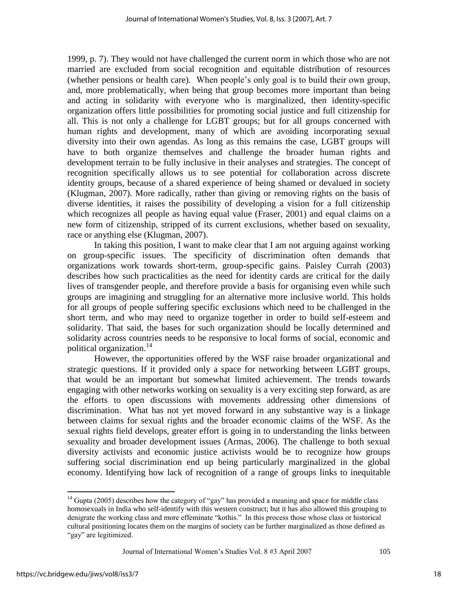1999, p. 7). They would not have challenged the current norm in which those who are not married are excluded from social recognition and equitable distribution of resources (whether pensions or health care). When people's only goal is to build their own group, and, more problematically, when being that group becomes more important than being and acting in solidarity with everyone who is marginalized, then identity-specific organization offers little possibilities for promoting social justice and full citizenship for all. This is not only a challenge for LGBT groups; but for all groups concerned with human rights and development, many of which are avoiding incorporating sexual diversity into their own agendas. As long as this remains the case, LGBT groups will have to both organize themselves and challenge the broader human rights and development terrain to be fully inclusive in their analyses and strategies. The concept of recognition specifically allows us to see potential for collaboration across discrete identity groups, because of a shared experience of being shamed or devalued in society (Klugman, 2007). More radically, rather than giving or removing rights on the basis of diverse identities, it raises the possibility of developing a vision for a full citizenship which recognizes all people as having equal value (Fraser, 2001) and equal claims on a new form of citizenship, stripped of its current exclusions, whether based on sexuality, race or anything else (Klugman, 2007).

In taking this position, I want to make clear that I am not arguing against working on group-specific issues. The specificity of discrimination often demands that organizations work towards short-term, group-specific gains. Paisley Currah (2003) describes how such practicalities as the need for identity cards are critical for the daily lives of transgender people, and therefore provide a basis for organising even while such groups are imagining and struggling for an alternative more inclusive world. This holds for all groups of people suffering specific exclusions which need to be challenged in the short term, and who may need to organize together in order to build self-esteem and solidarity. That said, the bases for such organization should be locally determined and solidarity across countries needs to be responsive to local forms of social, economic and political organization.<sup>14</sup>

However, the opportunities offered by the WSF raise broader organizational and strategic questions. If it provided only a space for networking between LGBT groups, that would be an important but somewhat limited achievement. The trends towards engaging with other networks working on sexuality is a very exciting step forward, as are the efforts to open discussions with movements addressing other dimensions of discrimination. What has not yet moved forward in any substantive way is a linkage between claims for sexual rights and the broader economic claims of the WSF. As the sexual rights field develops, greater effort is going in to understanding the links between sexuality and broader development issues (Armas, 2006). The challenge to both sexual diversity activists and economic justice activists would be to recognize how groups suffering social discrimination end up being particularly marginalized in the global economy. Identifying how lack of recognition of a range of groups links to inequitable

Journal of International Women's Studies Vol. 8 #3 April 2007 105

 $14$  Gupta (2005) describes how the category of "gay" has provided a meaning and space for middle class homosexuals in India who self-identify with this western construct; but it has also allowed this grouping to denigrate the working class and more effeminate "kothis." In this process those whose class or historical cultural positioning locates them on the margins of society can be further marginalized as those defined as "gay" are legitimized.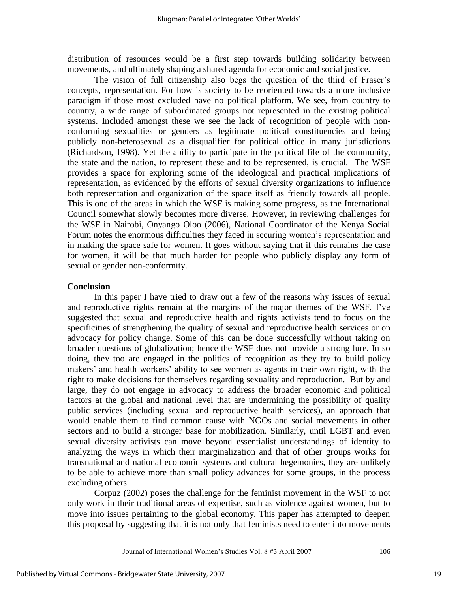distribution of resources would be a first step towards building solidarity between movements, and ultimately shaping a shared agenda for economic and social justice.

The vision of full citizenship also begs the question of the third of Fraser's concepts, representation. For how is society to be reoriented towards a more inclusive paradigm if those most excluded have no political platform. We see, from country to country, a wide range of subordinated groups not represented in the existing political systems. Included amongst these we see the lack of recognition of people with nonconforming sexualities or genders as legitimate political constituencies and being publicly non-heterosexual as a disqualifier for political office in many jurisdictions (Richardson, 1998). Yet the ability to participate in the political life of the community, the state and the nation, to represent these and to be represented, is crucial. The WSF provides a space for exploring some of the ideological and practical implications of representation, as evidenced by the efforts of sexual diversity organizations to influence both representation and organization of the space itself as friendly towards all people. This is one of the areas in which the WSF is making some progress, as the International Council somewhat slowly becomes more diverse. However, in reviewing challenges for the WSF in Nairobi, Onyango Oloo (2006), National Coordinator of the Kenya Social Forum notes the enormous difficulties they faced in securing women's representation and in making the space safe for women. It goes without saying that if this remains the case for women, it will be that much harder for people who publicly display any form of sexual or gender non-conformity.

#### **Conclusion**

In this paper I have tried to draw out a few of the reasons why issues of sexual and reproductive rights remain at the margins of the major themes of the WSF. I've suggested that sexual and reproductive health and rights activists tend to focus on the specificities of strengthening the quality of sexual and reproductive health services or on advocacy for policy change. Some of this can be done successfully without taking on broader questions of globalization; hence the WSF does not provide a strong lure. In so doing, they too are engaged in the politics of recognition as they try to build policy makers' and health workers' ability to see women as agents in their own right, with the right to make decisions for themselves regarding sexuality and reproduction. But by and large, they do not engage in advocacy to address the broader economic and political factors at the global and national level that are undermining the possibility of quality public services (including sexual and reproductive health services), an approach that would enable them to find common cause with NGOs and social movements in other sectors and to build a stronger base for mobilization. Similarly, until LGBT and even sexual diversity activists can move beyond essentialist understandings of identity to analyzing the ways in which their marginalization and that of other groups works for transnational and national economic systems and cultural hegemonies, they are unlikely to be able to achieve more than small policy advances for some groups, in the process excluding others.

Corpuz (2002) poses the challenge for the feminist movement in the WSF to not only work in their traditional areas of expertise, such as violence against women, but to move into issues pertaining to the global economy. This paper has attempted to deepen this proposal by suggesting that it is not only that feminists need to enter into movements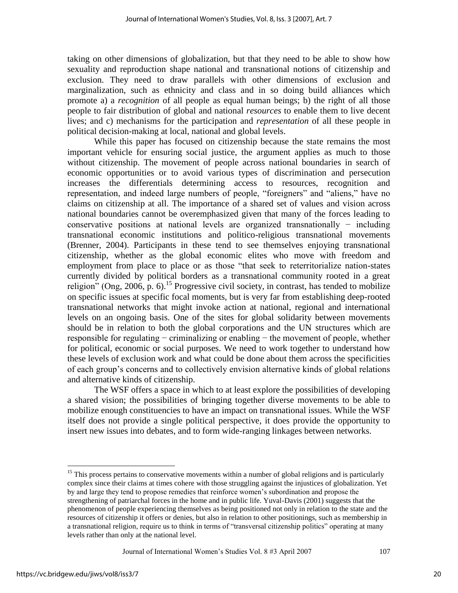taking on other dimensions of globalization, but that they need to be able to show how sexuality and reproduction shape national and transnational notions of citizenship and exclusion. They need to draw parallels with other dimensions of exclusion and marginalization, such as ethnicity and class and in so doing build alliances which promote a) a *recognition* of all people as equal human beings; b) the right of all those people to fair distribution of global and national *resources* to enable them to live decent lives; and c) mechanisms for the participation and *representation* of all these people in political decision-making at local, national and global levels.

While this paper has focused on citizenship because the state remains the most important vehicle for ensuring social justice, the argument applies as much to those without citizenship. The movement of people across national boundaries in search of economic opportunities or to avoid various types of discrimination and persecution increases the differentials determining access to resources, recognition and representation, and indeed large numbers of people, "foreigners" and "aliens," have no claims on citizenship at all. The importance of a shared set of values and vision across national boundaries cannot be overemphasized given that many of the forces leading to conservative positions at national levels are organized transnationally − including transnational economic institutions and politico-religious transnational movements (Brenner, 2004). Participants in these tend to see themselves enjoying transnational citizenship, whether as the global economic elites who move with freedom and employment from place to place or as those "that seek to reterritorialize nation-states" currently divided by political borders as a transnational community rooted in a great religion" (Ong, 2006, p. 6).<sup>15</sup> Progressive civil society, in contrast, has tended to mobilize on specific issues at specific focal moments, but is very far from establishing deep-rooted transnational networks that might invoke action at national, regional and international levels on an ongoing basis. One of the sites for global solidarity between movements should be in relation to both the global corporations and the UN structures which are responsible for regulating − criminalizing or enabling − the movement of people, whether for political, economic or social purposes. We need to work together to understand how these levels of exclusion work and what could be done about them across the specificities of each group's concerns and to collectively envision alternative kinds of global relations and alternative kinds of citizenship.

The WSF offers a space in which to at least explore the possibilities of developing a shared vision; the possibilities of bringing together diverse movements to be able to mobilize enough constituencies to have an impact on transnational issues. While the WSF itself does not provide a single political perspective, it does provide the opportunity to insert new issues into debates, and to form wide-ranging linkages between networks.

Journal of International Women's Studies Vol. 8 #3 April 2007 107

 $15$  This process pertains to conservative movements within a number of global religions and is particularly complex since their claims at times cohere with those struggling against the injustices of globalization. Yet by and large they tend to propose remedies that reinforce women's subordination and propose the strengthening of patriarchal forces in the home and in public life. Yuval-Davis (2001) suggests that the phenomenon of people experiencing themselves as being positioned not only in relation to the state and the resources of citizenship it offers or denies, but also in relation to other positionings, such as membership in a transnational religion, require us to think in terms of "transversal citizenship politics" operating at many levels rather than only at the national level.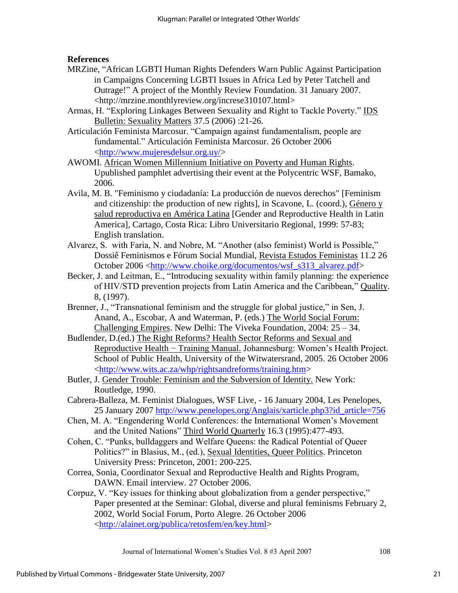**References** 

- MRZine, "African LGBTI Human Rights Defenders Warn Public Against Participation in Campaigns Concerning LGBTI Issues in Africa Led by Peter Tatchell and Outrage!" A project of the Monthly Review Foundation. 31 January 2007. <http://mrzine.monthlyreview.org/increse310107.html>
- Armas, H. "Exploring Linkages Between Sexuality and Right to Tackle Poverty." IDS Bulletin: Sexuality Matters 37.5 (2006) :21-26.
- Articulación Feminista Marcosur. "Campaign against fundamentalism, people are fundamental.‖ Articulación Feminista Marcosur. 26 October 2006 [<http://www.mujeresdelsur.org.uy/>](http://www.mujeresdelsur.org.uy/)
- AWOMI. African Women Millennium Initiative on Poverty and Human Rights. Upublished pamphlet advertising their event at the Polycentric WSF, Bamako, 2006.
- Avila, M. B. "Feminismo y ciudadanía: La producción de nuevos derechos" [Feminism and citizenship: the production of new rights], in Scavone, L. (coord.), Género y salud reproductiva en América Latina [Gender and Reproductive Health in Latin America], Cartago, Costa Rica: Libro Universitario Regional, 1999: 57-83; English translation.
- Alvarez, S. with Faria, N. and Nobre, M. "Another (also feminist) World is Possible," Dossiê Feminismos e Fórum Social Mundial, Revista Estudos Feministas 11.2 26 October 2006 [<http://www.choike.org/documentos/wsf\\_s313\\_alvarez.pdf>](http://www.choike.org/documentos/wsf_s313_alvarez.pdf)
- Becker, J. and Leitman, E., "Introducing sexuality within family planning: the experience of HIV/STD prevention projects from Latin America and the Caribbean," Quality. 8, (1997).
- Brenner, J., "Transnational feminism and the struggle for global justice," in Sen, J. Anand, A., Escobar, A and Waterman, P. (eds.) The World Social Forum: Challenging Empires. New Delhi: The Viveka Foundation, 2004: 25 – 34.
- Budlender, D.(ed.) The Right Reforms? Health Sector Reforms and Sexual and Reproductive Health − Training Manual. Johannesburg: Women's Health Project. School of Public Health, University of the Witwatersrand, 2005. 26 October 2006 [<http://www.wits.ac.za/whp/rightsandreforms/training.htm>](http://www.wits.ac.za/whp/rightsandreforms/training.htm)
- Butler, J. Gender Trouble: Feminism and the Subversion of Identity. New York: Routledge, 1990.
- Cabrera-Balleza, M. Feminist Dialogues, WSF Live*,* 16 January 2004, Les Penelopes*,* 25 January 2007 [http://www.penelopes.org/Anglais/xarticle.php3?id\\_article=756](http://www.penelopes.org/Anglais/xarticle.php3?id_article=756)
- Chen, M. A. "Engendering World Conferences: the International Women's Movement and the United Nations" Third World Quarterly 16.3 (1995):477-493.
- Cohen, C. "Punks, bulldaggers and Welfare Oueens: the Radical Potential of Oueer Politics?" in Blasius, M., (ed.), Sexual Identities, Queer Politics. Princeton University Press: Princeton, 2001: 200-225.
- Correa, Sonia, Coordinator Sexual and Reproductive Health and Rights Program, DAWN. Email interview. 27 October 2006.
- Corpuz, V. "Key issues for thinking about globalization from a gender perspective," Paper presented at the Seminar: Global, diverse and plural feminisms February 2, 2002*,* World Social Forum, Porto Alegre. 26 October 2006 [<http://alainet.org/publica/retosfem/en/key.html>](http://alainet.org/publica/retosfem/en/key.html)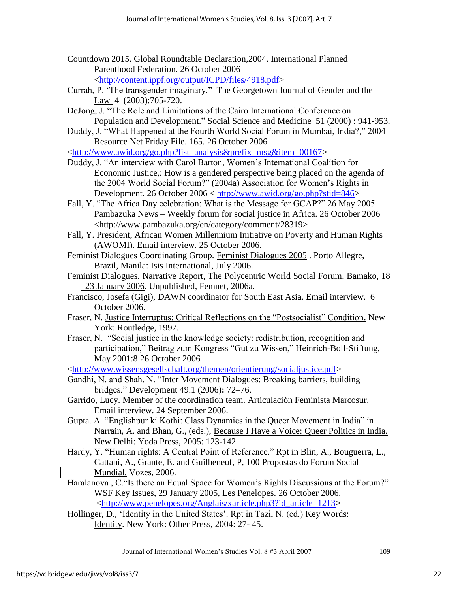- Countdown 2015. Global Roundtable Declaration*,*2004. International Planned Parenthood Federation. 26 October 2006 [<http://content.ippf.org/output/ICPD/files/4918.pdf>](http://content.ippf.org/output/ICPD/files/4918.pdf)
- Currah, P. 'The transgender imaginary." The Georgetown Journal of Gender and the Law 4 (2003):705-720.
- DeJong, J. "The Role and Limitations of the Cairo International Conference on Population and Development." Social Science and Medicine 51 (2000) : 941-953.
- Duddy, J. "What Happened at the Fourth World Social Forum in Mumbai, India?," 2004 Resource Net Friday File. 165. 26 October 2006

[<http://www.awid.org/go.php?list=analysis&prefix=msg&item=00167>](http://www.awid.org/go.php?list=analysis&prefix=msg&item=00167)

- Duddy, J. "An interview with Carol Barton, Women's International Coalition for Economic Justice,: How is a gendered perspective being placed on the agenda of the 2004 World Social Forum?" (2004a) Association for Women's Rights in Development. 26 October 2006 < [http://www.awid.org/go.php?stid=846>](http://www.awid.org/go.php?stid=846)
- Fall, Y. "The Africa Day celebration: What is the Message for GCAP?" 26 May 2005 Pambazuka News – Weekly forum for social justice in Africa. 26 October 2006 <http://www.pambazuka.org/en/category/comment/28319>
- Fall, Y. President, African Women Millennium Initiative on Poverty and Human Rights (AWOMI). Email interview. 25 October 2006.
- Feminist Dialogues Coordinating Group. Feminist Dialogues 2005 . Porto Allegre, Brazil, Manila: Isis International, July 2006.
- Feminist Dialogues. Narrative Report, The Polycentric World Social Forum, Bamako, 18 –23 January 2006. Unpublished, Femnet, 2006a.
- Francisco, Josefa (Gigi), DAWN coordinator for South East Asia. Email interview. 6 October 2006.
- Fraser, N. Justice Interruptus: Critical Reflections on the "Postsocialist" Condition. New York: Routledge, 1997.
- Fraser, N. "Social justice in the knowledge society: redistribution, recognition and participation," Beitrag zum Kongress "Gut zu Wissen," Heinrich-Boll-Stiftung, May 2001:8 26 October 2006
- [<http://www.wissensgesellschaft.org/themen/orientierung/socialjustice.pdf>](http://www.wissensgesellschaft.org/themen/orientierung/socialjustice.pdf)
- Gandhi, N. and Shah, N. "Inter Movement Dialogues: Breaking barriers, building bridges.‖ Development 49.1 (2006)**:** 72–76.
- Garrido, Lucy. Member of the coordination team. Articulación Feminista Marcosur. Email interview. 24 September 2006.
- Gupta. A. "Englishpur ki Kothi: Class Dynamics in the Queer Movement in India" in Narrain, A. and Bhan, G., (eds.), Because I Have a Voice: Queer Politics in India. New Delhi: Yoda Press, 2005: 123-142.
- Hardy, Y. "Human rights: A Central Point of Reference." Rpt in Blin, A., Bouguerra, L., Cattani, A., Grante, E. and Guilheneuf, P, 100 Propostas do Forum Social Mundial. Vozes, 2006.
- Haralanova, C. "Is there an Equal Space for Women's Rights Discussions at the Forum?" WSF Key Issues, 29 January 2005, Les Penelopes. 26 October 2006. [<http://www.penelopes.org/Anglais/xarticle.php3?id\\_article=1213>](http://www.penelopes.org/Anglais/xarticle.php3?id_article=1213)
- Hollinger, D., 'Identity in the United States'. Rpt in Tazi, N. (ed.) Key Words: Identity. New York: Other Press, 2004: 27- 45.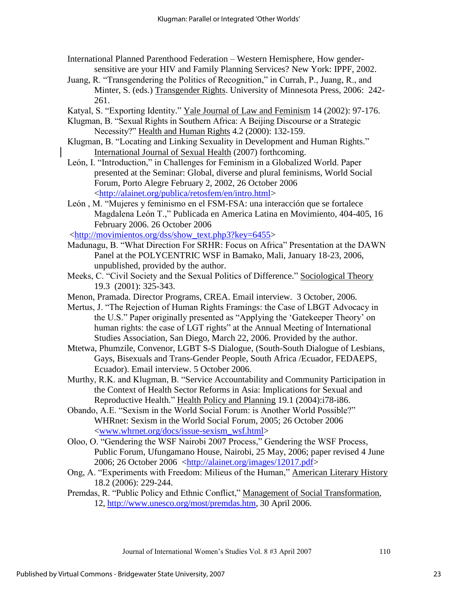- International Planned Parenthood Federation Western Hemisphere, How gendersensitive are your HIV and Family Planning Services? New York: IPPF, 2002.
- Juang, R. "Transgendering the Politics of Recognition," in Currah, P., Juang, R., and Minter, S. (eds.) Transgender Rights. University of Minnesota Press, 2006: 242- 261.
- Katyal, S. "Exporting Identity." Yale Journal of Law and Feminism 14 (2002): 97-176.
- Klugman, B. "Sexual Rights in Southern Africa: A Beijing Discourse or a Strategic Necessity?" Health and Human Rights 4.2 (2000): 132-159.
- Klugman, B. "Locating and Linking Sexuality in Development and Human Rights." International Journal of Sexual Health (2007) forthcoming.
- León, I. "Introduction," in Challenges for Feminism in a Globalized World. Paper presented at the Seminar: Global, diverse and plural feminisms, World Social Forum, Porto Alegre February 2, 2002, 26 October 2006 [<http://alainet.org/publica/retosfem/en/intro.html>](http://alainet.org/publica/retosfem/en/intro.html)
- León, M. "Mujeres y feminismo en el FSM-FSA: una interacción que se fortalece Magdalena León T.," Publicada en America Latina en Movimiento, 404-405, 16 February 2006. 26 October 2006

[<http://movimientos.org/dss/show\\_text.php3?key=6455>](http://movimientos.org/dss/show_text.php3?key=6455)

- Madunagu, B. "What Direction For SRHR: Focus on Africa" Presentation at the DAWN Panel at the POLYCENTRIC WSF in Bamako, Mali, January 18-23, 2006, unpublished, provided by the author.
- Meeks, C. "Civil Society and the Sexual Politics of Difference." Sociological Theory 19.3 (2001): 325-343.
- Menon, Pramada. Director Programs, CREA. Email interview. 3 October, 2006.
- Mertus, J. "The Rejection of Human Rights Framings: the Case of LBGT Advocacy in the U.S." Paper originally presented as "Applying the 'Gatekeeper Theory' on human rights: the case of LGT rights" at the Annual Meeting of International Studies Association, San Diego, March 22, 2006. Provided by the author.
- Mtetwa, Phumzile, Convenor, LGBT S-S Dialogue, (South-South Dialogue of Lesbians, Gays, Bisexuals and Trans-Gender People, South Africa /Ecuador, FEDAEPS, Ecuador). Email interview. 5 October 2006.
- Murthy, R.K. and Klugman, B. "Service Accountability and Community Participation in the Context of Health Sector Reforms in Asia: Implications for Sexual and Reproductive Health." Health Policy and Planning 19.1 (2004):i78-i86.
- Obando, A.E. "Sexism in the World Social Forum: is Another World Possible?" WHRnet: Sexism in the World Social Forum, 2005; 26 October 2006 [<www.whrnet.org/docs/issue-sexism\\_wsf.html>](http://www.whrnet.org/docs/issue-sexism_wsf.html)
- Oloo, O. "Gendering the WSF Nairobi 2007 Process," Gendering the WSF Process, Public Forum, Ufungamano House, Nairobi, 25 May, 2006; paper revised 4 June 2006; 26 October 2006 [<http://alainet.org/images/12017.pdf>](http://alainet.org/images/12017.pdf)
- Ong, A. "Experiments with Freedom: Milieus of the Human," American Literary History 18.2 (2006): 229-244.
- Premdas, R. "Public Policy and Ethnic Conflict," Management of Social Transformation, 12, [http://www.unesco.org/most/premdas.htm,](http://www.unesco.org/most/premdas.htm) 30 April 2006.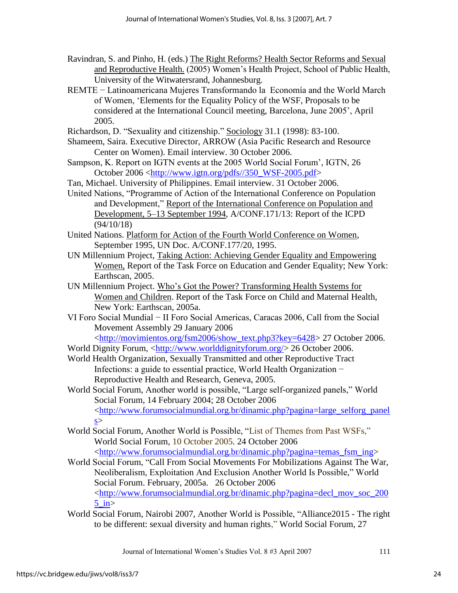- Ravindran, S. and Pinho, H. (eds.) The Right Reforms? Health Sector Reforms and Sexual and Reproductive Health. (2005) Women's Health Project, School of Public Health, University of the Witwatersrand, Johannesburg.
- REMTE − Latinoamericana Mujeres Transformando la Economía and the World March of Women, ‗Elements for the Equality Policy of the WSF, Proposals to be considered at the International Council meeting, Barcelona, June 2005', April 2005.
- Richardson, D. "Sexuality and citizenship." Sociology 31.1 (1998): 83-100.
- Shameem, Saira. Executive Director, ARROW (Asia Pacific Research and Resource Center on Women). Email interview. 30 October 2006.
- Sampson, K. Report on IGTN events at the 2005 World Social Forum', IGTN, 26 October 2006 [<http://www.igtn.org/pdfs//350\\_WSF-2005.pdf>](http://www.igtn.org/pdfs/350_WSF-2005.pdf)
- Tan, Michael. University of Philippines. Email interview. 31 October 2006.
- United Nations, "Programme of Action of the International Conference on Population and Development," Report of the International Conference on Population and Development, 5–13 September 1994, A/CONF.171/13: Report of the ICPD (94/10/18)
- United Nations. Platform for Action of the Fourth World Conference on Women, September 1995, UN Doc. A/CONF.177/20, 1995.
- UN Millennium Project, Taking Action: Achieving Gender Equality and Empowering Women, Report of the Task Force on Education and Gender Equality; New York: Earthscan, 2005.
- UN Millennium Project. Who's Got the Power? Transforming Health Systems for Women and Children. Report of the Task Force on Child and Maternal Health, New York: Earthscan, 2005a.
- VI Foro Social Mundial − II Foro Social Americas, Caracas 2006, Call from the Social Movement Assembly 29 January 2006 [<http://movimientos.org/fsm2006/show\\_text.php3?key=6428>](http://movimientos.org/fsm2006/show_text.php3?key=6428) 27 October 2006.
- World Dignity Forum, [<http://www.worlddignityforum.org/>](http://www.worlddignityforum.org/) 26 October 2006.
- World Health Organization, Sexually Transmitted and other Reproductive Tract Infections: a guide to essential practice, World Health Organization − Reproductive Health and Research, Geneva, 2005.
- World Social Forum, Another world is possible, "Large self-organized panels," World Social Forum, 14 February 2004; 28 October 2006 [<http://www.forumsocialmundial.org.br/dinamic.php?pagina=large\\_selforg\\_panel](http://www.forumsocialmundial.org.br/dinamic.php?pagina=large_selforg_panels)  $s$
- World Social Forum, Another World is Possible, "List of Themes from Past WSFs," World Social Forum, 10 October 2005. 24 October 2006 [<http://www.forumsocialmundial.org.br/dinamic.php?pagina=temas\\_fsm\\_ing>](http://www.forumsocialmundial.org.br/dinamic.php?pagina=temas_fsm_ing)
- World Social Forum, "Call From Social Movements For Mobilizations Against The War, Neoliberalism, Exploitation And Exclusion Another World Is Possible," World Social Forum. February, 2005a. 26 October 2006  $\langle$ http://www.forumsocialmundial.org.br/dinamic.php?pagina=decl\_mov\_soc\_200  $5$  in $>$
- World Social Forum, Nairobi 2007, Another World is Possible, "Alliance 2015 The right to be different: sexual diversity and human rights," World Social Forum, 27